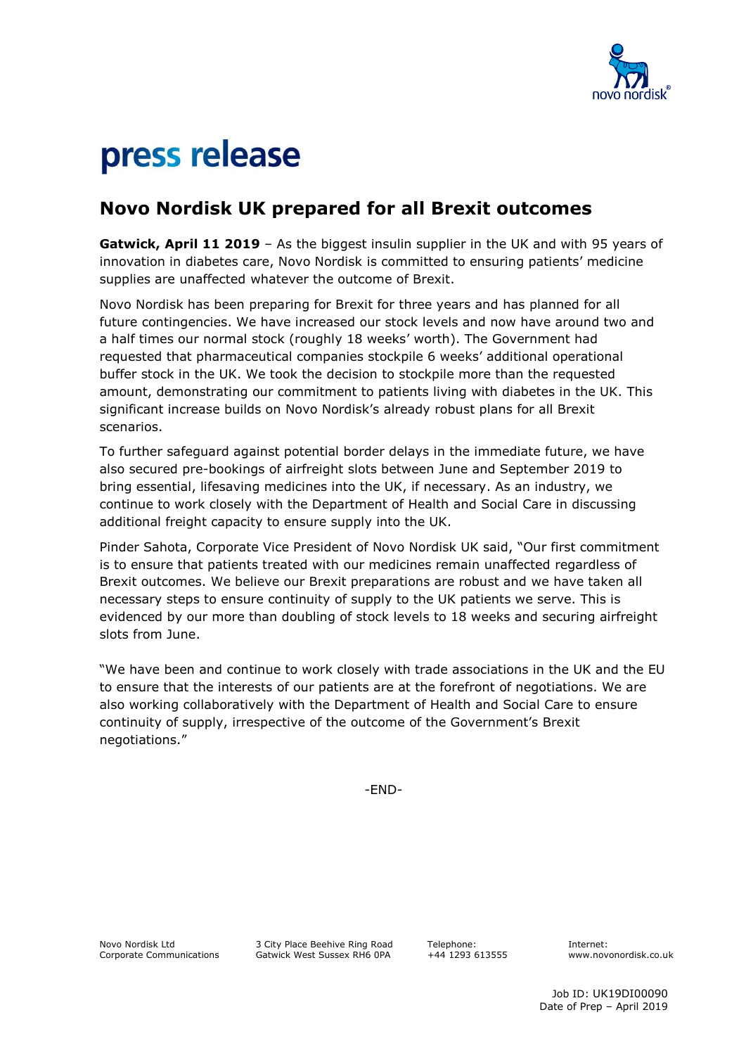

## press release

## **Novo Nordisk UK prepared for all Brexit outcomes**

**Gatwick, April 11 2019** – As the biggest insulin supplier in the UK and with 95 years of innovation in diabetes care, Novo Nordisk is committed to ensuring patients' medicine supplies are unaffected whatever the outcome of Brexit.

Novo Nordisk has been preparing for Brexit for three years and has planned for all future contingencies. We have increased our stock levels and now have around two and a half times our normal stock (roughly 18 weeks' worth). The Government had requested that pharmaceutical companies stockpile 6 weeks' additional operational buffer stock in the UK. We took the decision to stockpile more than the requested amount, demonstrating our commitment to patients living with diabetes in the UK. This significant increase builds on Novo Nordisk's already robust plans for all Brexit scenarios.

To further safeguard against potential border delays in the immediate future, we have also secured pre-bookings of airfreight slots between June and September 2019 to bring essential, lifesaving medicines into the UK, if necessary. As an industry, we continue to work closely with the Department of Health and Social Care in discussing additional freight capacity to ensure supply into the UK.

Pinder Sahota, Corporate Vice President of Novo Nordisk UK said, "Our first commitment is to ensure that patients treated with our medicines remain unaffected regardless of Brexit outcomes. We believe our Brexit preparations are robust and we have taken all necessary steps to ensure continuity of supply to the UK patients we serve. This is evidenced by our more than doubling of stock levels to 18 weeks and securing airfreight slots from June.

"We have been and continue to work closely with trade associations in the UK and the EU to ensure that the interests of our patients are at the forefront of negotiations. We are also working collaboratively with the Department of Health and Social Care to ensure continuity of supply, irrespective of the outcome of the Government's Brexit negotiations."

-END-

Novo Nordisk Ltd Corporate Communications 3 City Place Beehive Ring Road Gatwick West Sussex RH6 0PA

 Telephone: +44 1293 613555 Internet: www.novonordisk.co.uk